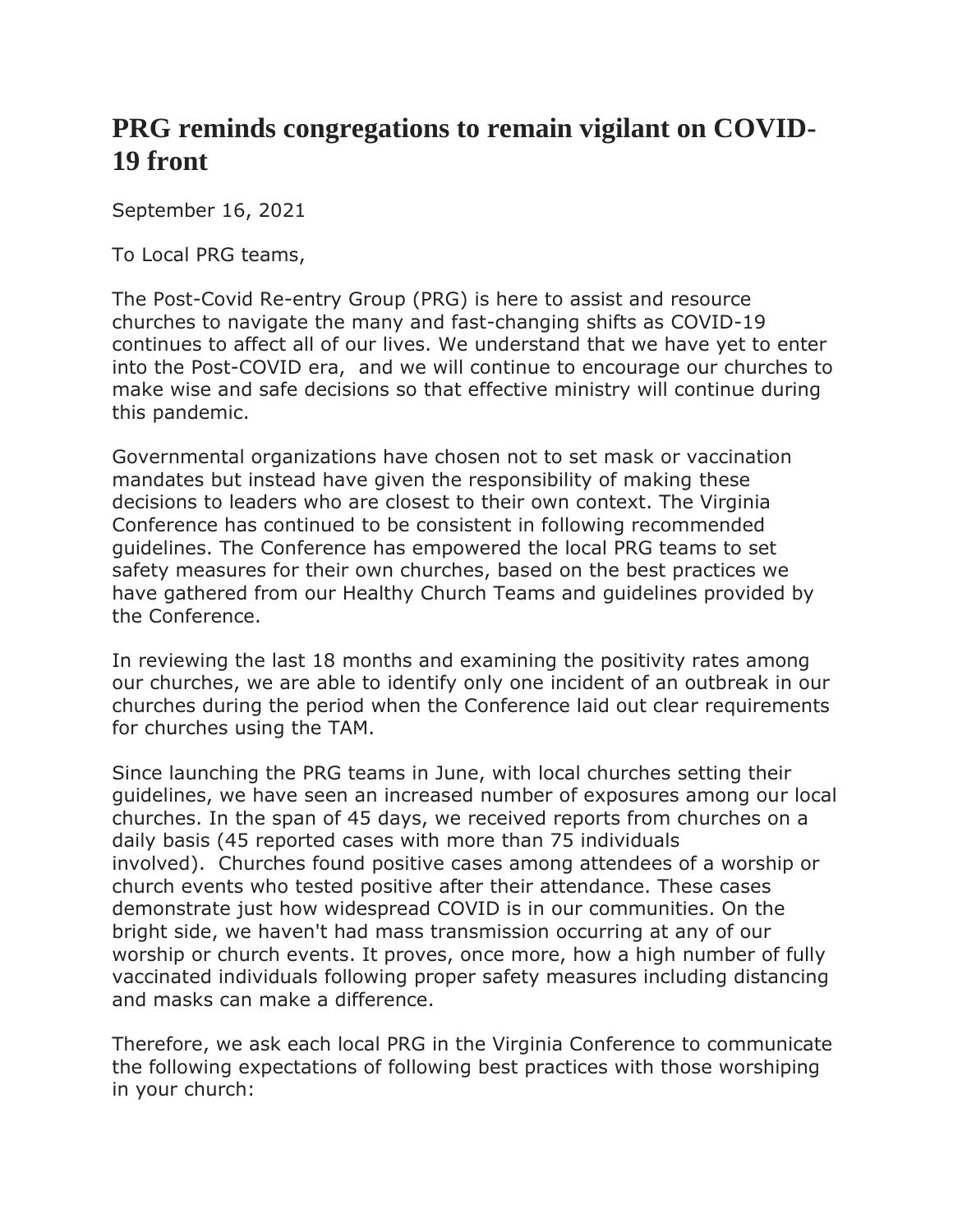## **PRG reminds congregations to remain vigilant on COVID-19 front**

September 16, 2021

To Local PRG teams,

The Post-Covid Re-entry Group (PRG) is here to assist and resource churches to navigate the many and fast-changing shifts as COVID-19 continues to affect all of our lives. We understand that we have yet to enter into the Post-COVID era, and we will continue to encourage our churches to make wise and safe decisions so that effective ministry will continue during this pandemic.

Governmental organizations have chosen not to set mask or vaccination mandates but instead have given the responsibility of making these decisions to leaders who are closest to their own context. The Virginia Conference has continued to be consistent in following recommended guidelines. The Conference has empowered the local PRG teams to set safety measures for their own churches, based on the best practices we have gathered from our Healthy Church Teams and guidelines provided by the Conference.

In reviewing the last 18 months and examining the positivity rates among our churches, we are able to identify only one incident of an outbreak in our churches during the period when the Conference laid out clear requirements for churches using the TAM.

Since launching the PRG teams in June, with local churches setting their guidelines, we have seen an increased number of exposures among our local churches. In the span of 45 days, we received reports from churches on a daily basis (45 reported cases with more than 75 individuals involved). Churches found positive cases among attendees of a worship or church events who tested positive after their attendance. These cases demonstrate just how widespread COVID is in our communities. On the bright side, we haven't had mass transmission occurring at any of our worship or church events. It proves, once more, how a high number of fully vaccinated individuals following proper safety measures including distancing and masks can make a difference.

Therefore, we ask each local PRG in the Virginia Conference to communicate the following expectations of following best practices with those worshiping in your church: